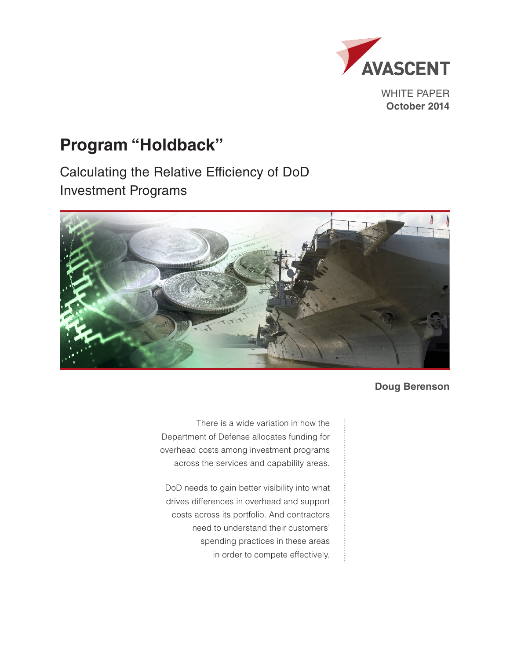

WHITE PAPER **October 2014**

# **Program "Holdback"**

Calculating the Relative Efficiency of DoD Investment Programs



**Doug Berenson**

There is a wide variation in how the Department of Defense allocates funding for overhead costs among investment programs across the services and capability areas.

DoD needs to gain better visibility into what drives differences in overhead and support costs across its portfolio. And contractors need to understand their customers' spending practices in these areas in order to compete effectively.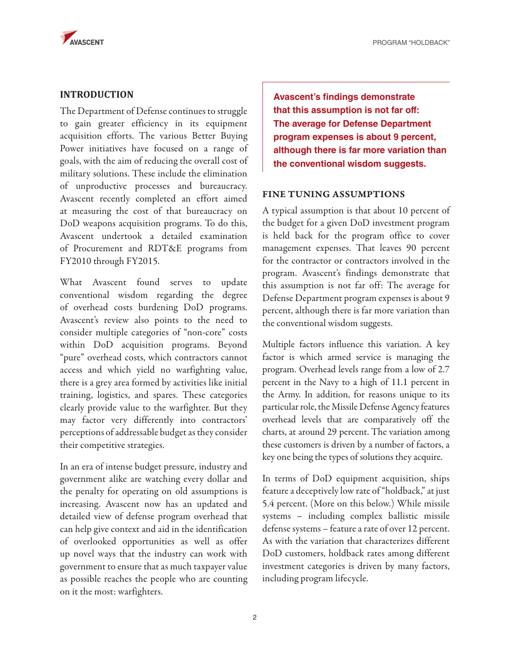

## **INTRODUCTION**

The Department of Defense continues to struggle to gain greater efficiency in its equipment acquisition efforts. The various Better Buying Power initiatives have focused on a range of goals, with the aim of reducing the overall cost of military solutions. These include the elimination of unproductive processes and bureaucracy. Avascent recently completed an effort aimed at measuring the cost of that bureaucracy on DoD weapons acquisition programs. To do this, Avascent undertook a detailed examination of Procurement and RDT&E programs from FY2010 through FY2015.

What Avascent found serves to update conventional wisdom regarding the degree of overhead costs burdening DoD programs. Avascent's review also points to the need to consider multiple categories of "non-core" costs within DoD acquisition programs. Beyond "pure" overhead costs, which contractors cannot access and which yield no warfighting value, there is a grey area formed by activities like initial training, logistics, and spares. These categories clearly provide value to the warfighter. But they may factor very differently into contractors' perceptions of addressable budget as they consider their competitive strategies.

In an era of intense budget pressure, industry and government alike are watching every dollar and the penalty for operating on old assumptions is increasing. Avascent now has an updated and detailed view of defense program overhead that can help give context and aid in the identification of overlooked opportunities as well as offer up novel ways that the industry can work with government to ensure that as much taxpayer value as possible reaches the people who are counting on it the most: warfighters.

**Avascent's findings demonstrate that this assumption is not far off: The average for Defense Department program expenses is about 9 percent, although there is far more variation than the conventional wisdom suggests.** 

#### FINE TUNING ASSUMPTIONS

A typical assumption is that about 10 percent of the budget for a given DoD investment program is held back for the program office to cover management expenses. That leaves 90 percent for the contractor or contractors involved in the program. Avascent's findings demonstrate that this assumption is not far off: The average for Defense Department program expenses is about 9 percent, although there is far more variation than the conventional wisdom suggests.

Multiple factors influence this variation. A key factor is which armed service is managing the program. Overhead levels range from a low of 2.7 percent in the Navy to a high of 11.1 percent in the Army. In addition, for reasons unique to its particular role, the Missile Defense Agency features overhead levels that are comparatively off the charts, at around 29 percent. The variation among these customers is driven by a number of factors, a key one being the types of solutions they acquire.

In terms of DoD equipment acquisition, ships feature a deceptively low rate of "holdback," at just 5.4 percent. (More on this below.) While missile systems – including complex ballistic missile defense systems – feature a rate of over 12 percent. As with the variation that characterizes different DoD customers, holdback rates among different investment categories is driven by many factors, including program lifecycle.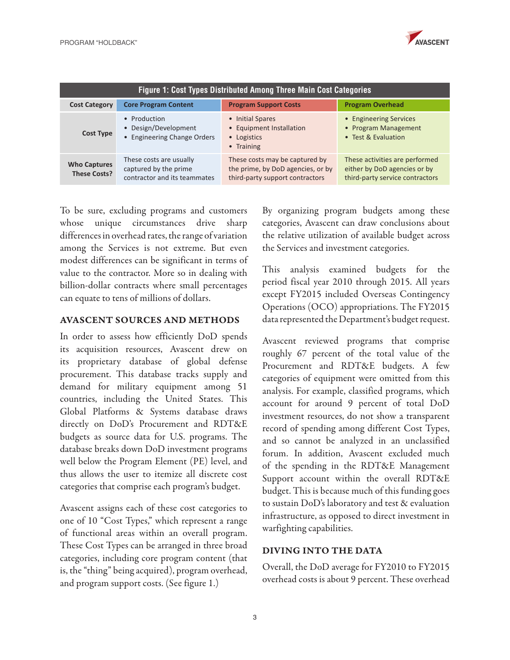

| <b>Figure 1: Cost Types Distributed Among Three Main Cost Categories</b> |                                                                                  |                                                                                                        |                                                                                                   |
|--------------------------------------------------------------------------|----------------------------------------------------------------------------------|--------------------------------------------------------------------------------------------------------|---------------------------------------------------------------------------------------------------|
| <b>Cost Category</b>                                                     | <b>Core Program Content</b>                                                      | <b>Program Support Costs</b>                                                                           | <b>Program Overhead</b>                                                                           |
| <b>Cost Type</b>                                                         | • Production<br>• Design/Development<br>• Engineering Change Orders              | • Initial Spares<br>• Equipment Installation<br>• Logistics<br>• Training                              | • Engineering Services<br>• Program Management<br>• Test & Evaluation                             |
| <b>Who Captures</b><br><b>These Costs?</b>                               | These costs are usually<br>captured by the prime<br>contractor and its teammates | These costs may be captured by<br>the prime, by DoD agencies, or by<br>third-party support contractors | These activities are performed<br>either by DoD agencies or by<br>third-party service contractors |

To be sure, excluding programs and customers whose unique circumstances drive sharp differences in overhead rates, the range of variation among the Services is not extreme. But even modest differences can be significant in terms of value to the contractor. More so in dealing with billion-dollar contracts where small percentages can equate to tens of millions of dollars.

#### AVASCENT SOURCES AND METHODS

In order to assess how efficiently DoD spends its acquisition resources, Avascent drew on its proprietary database of global defense procurement. This database tracks supply and demand for military equipment among 51 countries, including the United States. This Global Platforms & Systems database draws directly on DoD's Procurement and RDT&E budgets as source data for U.S. programs. The database breaks down DoD investment programs well below the Program Element (PE) level, and thus allows the user to itemize all discrete cost categories that comprise each program's budget.

Avascent assigns each of these cost categories to one of 10 "Cost Types," which represent a range of functional areas within an overall program. These Cost Types can be arranged in three broad categories, including core program content (that is, the "thing" being acquired), program overhead, and program support costs. (See figure 1.)

By organizing program budgets among these categories, Avascent can draw conclusions about the relative utilization of available budget across the Services and investment categories.

This analysis examined budgets for the period fiscal year 2010 through 2015. All years except FY2015 included Overseas Contingency Operations (OCO) appropriations. The FY2015 data represented the Department's budget request.

Avascent reviewed programs that comprise roughly 67 percent of the total value of the Procurement and RDT&E budgets. A few categories of equipment were omitted from this analysis. For example, classified programs, which account for around 9 percent of total DoD investment resources, do not show a transparent record of spending among different Cost Types, and so cannot be analyzed in an unclassified forum. In addition, Avascent excluded much of the spending in the RDT&E Management Support account within the overall RDT&E budget. This is because much of this funding goes to sustain DoD's laboratory and test & evaluation infrastructure, as opposed to direct investment in warfighting capabilities.

#### DIVING INTO THE DATA

Overall, the DoD average for FY2010 to FY2015 overhead costs is about 9 percent. These overhead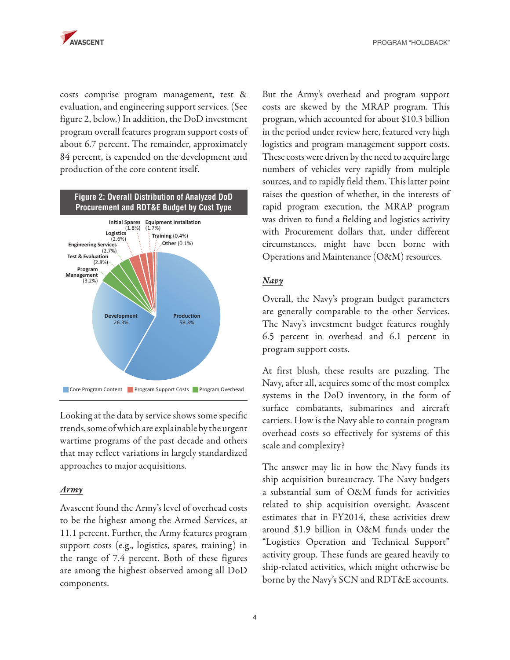costs comprise program management, test & evaluation, and engineering support services. (See figure 2, below.) In addition, the DoD investment program overall features program support costs of about 6.7 percent. The remainder, approximately 84 percent, is expended on the development and production of the core content itself.



Looking at the data by service shows some specific trends, some of which are explainable by the urgent wartime programs of the past decade and others that may reflect variations in largely standardized approaches to major acquisitions.

#### *Army*

Avascent found the Army's level of overhead costs to be the highest among the Armed Services, at 11.1 percent. Further, the Army features program support costs (e.g., logistics, spares, training) in the range of 7.4 percent. Both of these figures are among the highest observed among all DoD components.

But the Army's overhead and program support costs are skewed by the MRAP program. This program, which accounted for about \$10.3 billion in the period under review here, featured very high logistics and program management support costs. These costs were driven by the need to acquire large numbers of vehicles very rapidly from multiple sources, and to rapidly field them. This latter point raises the question of whether, in the interests of rapid program execution, the MRAP program was driven to fund a fielding and logistics activity with Procurement dollars that, under different circumstances, might have been borne with Operations and Maintenance (O&M) resources.

#### *Navy*

Overall, the Navy's program budget parameters are generally comparable to the other Services. The Navy's investment budget features roughly 6.5 percent in overhead and 6.1 percent in program support costs.

At first blush, these results are puzzling. The Navy, after all, acquires some of the most complex systems in the DoD inventory, in the form of surface combatants, submarines and aircraft carriers. How is the Navy able to contain program overhead costs so effectively for systems of this scale and complexity?

The answer may lie in how the Navy funds its ship acquisition bureaucracy. The Navy budgets a substantial sum of O&M funds for activities related to ship acquisition oversight. Avascent estimates that in FY2014, these activities drew around \$1.9 billion in O&M funds under the "Logistics Operation and Technical Support" activity group. These funds are geared heavily to ship-related activities, which might otherwise be borne by the Navy's SCN and RDT&E accounts.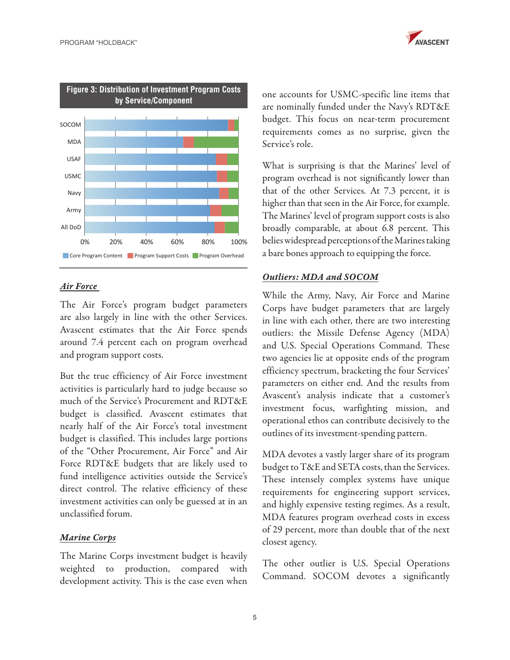



## *Air Force*

The Air Force's program budget parameters are also largely in line with the other Services. Avascent estimates that the Air Force spends around 7.4 percent each on program overhead and program support costs.

But the true efficiency of Air Force investment activities is particularly hard to judge because so much of the Service's Procurement and RDT&E budget is classified. Avascent estimates that nearly half of the Air Force's total investment budget is classified. This includes large portions of the "Other Procurement, Air Force" and Air Force RDT&E budgets that are likely used to fund intelligence activities outside the Service's direct control. The relative efficiency of these investment activities can only be guessed at in an unclassified forum.

## *Marine Corps*

The Marine Corps investment budget is heavily weighted to production, compared with development activity. This is the case even when

one accounts for USMC-specific line items that are nominally funded under the Navy's RDT&E budget. This focus on near-term procurement requirements comes as no surprise, given the Service's role.

What is surprising is that the Marines' level of program overhead is not significantly lower than that of the other Services. At 7.3 percent, it is higher than that seen in the Air Force, for example. The Marines' level of program support costs is also broadly comparable, at about 6.8 percent. This belies widespread perceptions of the Marines taking a bare bones approach to equipping the force.

#### *Outliers: MDA and SOCOM*

While the Army, Navy, Air Force and Marine Corps have budget parameters that are largely in line with each other, there are two interesting outliers: the Missile Defense Agency (MDA) and U.S. Special Operations Command. These two agencies lie at opposite ends of the program efficiency spectrum, bracketing the four Services' parameters on either end. And the results from Avascent's analysis indicate that a customer's investment focus, warfighting mission, and operational ethos can contribute decisively to the outlines of its investment-spending pattern.

MDA devotes a vastly larger share of its program budget to T&E and SETA costs, than the Services. These intensely complex systems have unique requirements for engineering support services, and highly expensive testing regimes. As a result, MDA features program overhead costs in excess of 29 percent, more than double that of the next closest agency.

The other outlier is U.S. Special Operations Command. SOCOM devotes a significantly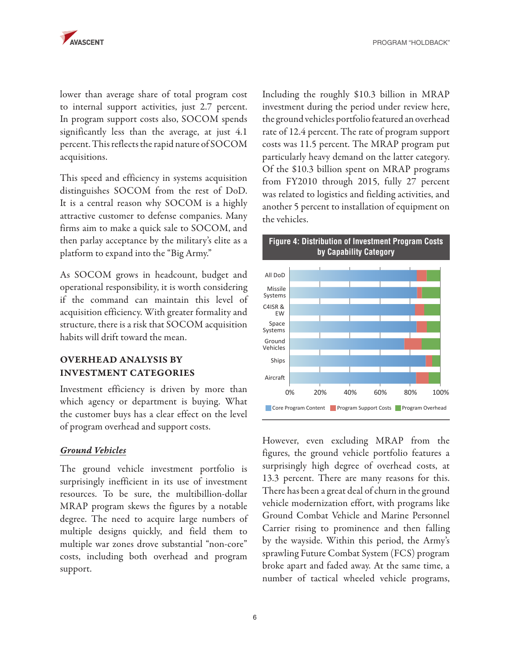

lower than average share of total program cost to internal support activities, just 2.7 percent. In program support costs also, SOCOM spends significantly less than the average, at just 4.1 percent. This reflects the rapid nature of SOCOM acquisitions.

This speed and efficiency in systems acquisition distinguishes SOCOM from the rest of DoD. It is a central reason why SOCOM is a highly attractive customer to defense companies. Many firms aim to make a quick sale to SOCOM, and then parlay acceptance by the military's elite as a platform to expand into the "Big Army."

As SOCOM grows in headcount, budget and operational responsibility, it is worth considering if the command can maintain this level of acquisition efficiency. With greater formality and structure, there is a risk that SOCOM acquisition habits will drift toward the mean.

## OVERHEAD ANALYSIS BY INVESTMENT CATEGORIES

Investment efficiency is driven by more than which agency or department is buying. What the customer buys has a clear effect on the level of program overhead and support costs.

#### *Ground Vehicles*

The ground vehicle investment portfolio is surprisingly inefficient in its use of investment resources. To be sure, the multibillion-dollar MRAP program skews the figures by a notable degree. The need to acquire large numbers of multiple designs quickly, and field them to multiple war zones drove substantial "non-core" costs, including both overhead and program support.

Including the roughly \$10.3 billion in MRAP investment during the period under review here, the ground vehicles portfolio featured an overhead rate of 12.4 percent. The rate of program support costs was 11.5 percent. The MRAP program put particularly heavy demand on the latter category. Of the \$10.3 billion spent on MRAP programs from FY2010 through 2015, fully 27 percent was related to logistics and fielding activities, and another 5 percent to installation of equipment on the vehicles.



However, even excluding MRAP from the figures, the ground vehicle portfolio features a surprisingly high degree of overhead costs, at 13.3 percent. There are many reasons for this. There has been a great deal of churn in the ground vehicle modernization effort, with programs like Ground Combat Vehicle and Marine Personnel Carrier rising to prominence and then falling by the wayside. Within this period, the Army's sprawling Future Combat System (FCS) program broke apart and faded away. At the same time, a number of tactical wheeled vehicle programs,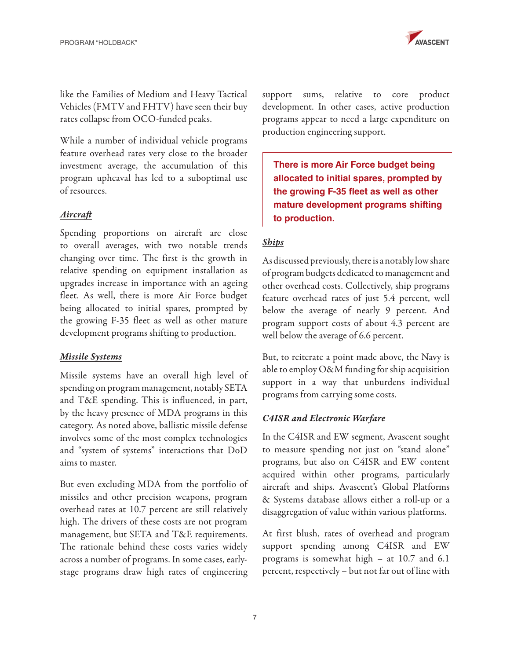

like the Families of Medium and Heavy Tactical Vehicles (FMTV and FHTV) have seen their buy rates collapse from OCO-funded peaks.

While a number of individual vehicle programs feature overhead rates very close to the broader investment average, the accumulation of this program upheaval has led to a suboptimal use of resources.

#### *Aircraft*

Spending proportions on aircraft are close to overall averages, with two notable trends changing over time. The first is the growth in relative spending on equipment installation as upgrades increase in importance with an ageing fleet. As well, there is more Air Force budget being allocated to initial spares, prompted by the growing F-35 fleet as well as other mature development programs shifting to production.

#### *Missile Systems*

Missile systems have an overall high level of spending on program management, notably SETA and T&E spending. This is influenced, in part, by the heavy presence of MDA programs in this category. As noted above, ballistic missile defense involves some of the most complex technologies and "system of systems" interactions that DoD aims to master.

But even excluding MDA from the portfolio of missiles and other precision weapons, program overhead rates at 10.7 percent are still relatively high. The drivers of these costs are not program management, but SETA and T&E requirements. The rationale behind these costs varies widely across a number of programs. In some cases, earlystage programs draw high rates of engineering

support sums, relative to core product development. In other cases, active production programs appear to need a large expenditure on production engineering support.

**There is more Air Force budget being allocated to initial spares, prompted by the growing F-35 fleet as well as other mature development programs shifting to production.**

## *Ships*

As discussed previously, there is a notably low share of program budgets dedicated to management and other overhead costs. Collectively, ship programs feature overhead rates of just 5.4 percent, well below the average of nearly 9 percent. And program support costs of about 4.3 percent are well below the average of 6.6 percent.

But, to reiterate a point made above, the Navy is able to employ O&M funding for ship acquisition support in a way that unburdens individual programs from carrying some costs.

#### *C4ISR and Electronic Warfare*

In the C4ISR and EW segment, Avascent sought to measure spending not just on "stand alone" programs, but also on C4ISR and EW content acquired within other programs, particularly aircraft and ships. Avascent's Global Platforms & Systems database allows either a roll-up or a disaggregation of value within various platforms.

At first blush, rates of overhead and program support spending among C4ISR and EW programs is somewhat high – at 10.7 and 6.1 percent, respectively – but not far out of line with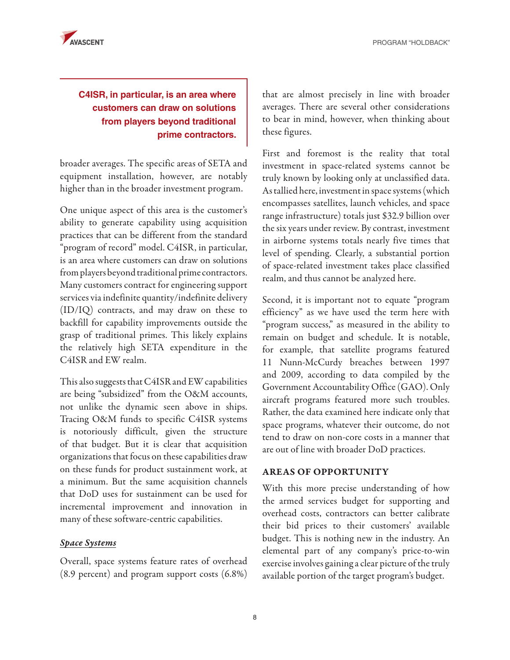PROGRAM "HOLDBACK"



# **C4ISR, in particular, is an area where customers can draw on solutions from players beyond traditional prime contractors.**

broader averages. The specific areas of SETA and equipment installation, however, are notably higher than in the broader investment program.

One unique aspect of this area is the customer's ability to generate capability using acquisition practices that can be different from the standard "program of record" model. C4ISR, in particular, is an area where customers can draw on solutions from players beyond traditional prime contractors. Many customers contract for engineering support services via indefinite quantity/indefinite delivery (ID/IQ) contracts, and may draw on these to backfill for capability improvements outside the grasp of traditional primes. This likely explains the relatively high SETA expenditure in the C4ISR and EW realm.

This also suggests that C4ISR and EW capabilities are being "subsidized" from the O&M accounts, not unlike the dynamic seen above in ships. Tracing O&M funds to specific C4ISR systems is notoriously difficult, given the structure of that budget. But it is clear that acquisition organizations that focus on these capabilities draw on these funds for product sustainment work, at a minimum. But the same acquisition channels that DoD uses for sustainment can be used for incremental improvement and innovation in many of these software-centric capabilities.

#### *Space Systems*

Overall, space systems feature rates of overhead (8.9 percent) and program support costs (6.8%)

that are almost precisely in line with broader averages. There are several other considerations to bear in mind, however, when thinking about these figures.

First and foremost is the reality that total investment in space-related systems cannot be truly known by looking only at unclassified data. As tallied here, investment in space systems (which encompasses satellites, launch vehicles, and space range infrastructure) totals just \$32.9 billion over the six years under review. By contrast, investment in airborne systems totals nearly five times that level of spending. Clearly, a substantial portion of space-related investment takes place classified realm, and thus cannot be analyzed here.

Second, it is important not to equate "program efficiency" as we have used the term here with "program success," as measured in the ability to remain on budget and schedule. It is notable, for example, that satellite programs featured 11 Nunn-McCurdy breaches between 1997 and 2009, according to data compiled by the Government Accountability Office (GAO). Only aircraft programs featured more such troubles. Rather, the data examined here indicate only that space programs, whatever their outcome, do not tend to draw on non-core costs in a manner that are out of line with broader DoD practices.

#### AREAS OF OPPORTUNITY

With this more precise understanding of how the armed services budget for supporting and overhead costs, contractors can better calibrate their bid prices to their customers' available budget. This is nothing new in the industry. An elemental part of any company's price-to-win exercise involves gaining a clear picture of the truly available portion of the target program's budget.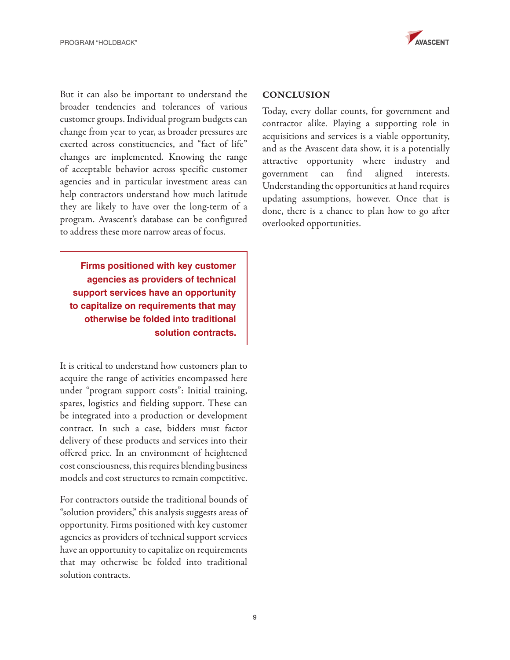

But it can also be important to understand the broader tendencies and tolerances of various customer groups. Individual program budgets can change from year to year, as broader pressures are exerted across constituencies, and "fact of life" changes are implemented. Knowing the range of acceptable behavior across specific customer agencies and in particular investment areas can help contractors understand how much latitude they are likely to have over the long-term of a program. Avascent's database can be configured to address these more narrow areas of focus.

**Firms positioned with key customer agencies as providers of technical support services have an opportunity to capitalize on requirements that may otherwise be folded into traditional solution contracts.**

It is critical to understand how customers plan to acquire the range of activities encompassed here under "program support costs": Initial training, spares, logistics and fielding support. These can be integrated into a production or development contract. In such a case, bidders must factor delivery of these products and services into their offered price. In an environment of heightened cost consciousness, this requires blending business models and cost structures to remain competitive.

For contractors outside the traditional bounds of "solution providers," this analysis suggests areas of opportunity. Firms positioned with key customer agencies as providers of technical support services have an opportunity to capitalize on requirements that may otherwise be folded into traditional solution contracts.

#### **CONCLUSION**

Today, every dollar counts, for government and contractor alike. Playing a supporting role in acquisitions and services is a viable opportunity, and as the Avascent data show, it is a potentially attractive opportunity where industry and government can find aligned interests. Understanding the opportunities at hand requires updating assumptions, however. Once that is done, there is a chance to plan how to go after overlooked opportunities.